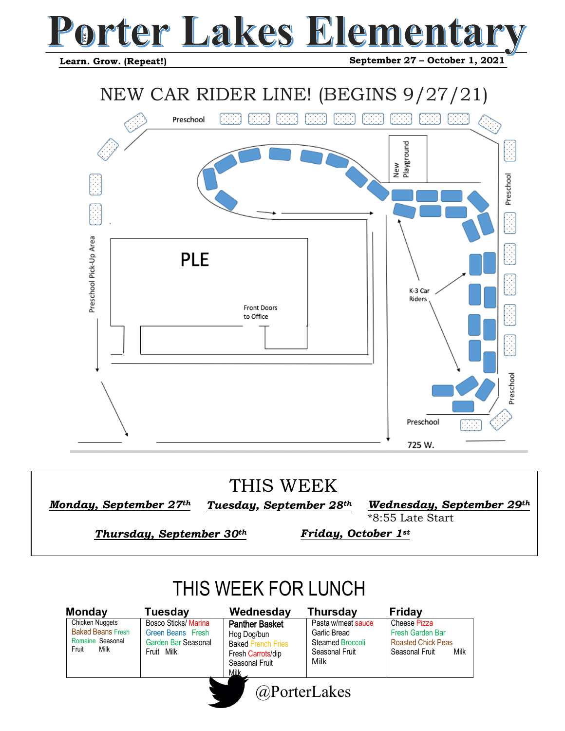## **DI LET TEGI**

 **Learn. Grow. (Repeat!)**

 **September 27 – October 1, 2021**



*Tuesday, September 28th Monday, September 27 th*

*Wednesday, September 29th*  \*8:55 Late Start

*Thursday, September 30th* 

*Friday, October 1st* 

### THIS WEEK FOR LUNCH

Chicken Nuggets Baked Beans Fresh Romaine Seasonal<br>Fruit Milk Fruit

Bosco Sticks/ Marina Green Beans Fresh Garden Bar Seasonal Fruit Milk **Monday Tuesday Wednesday Thursday Friday**

Panther Basket Hog Dog/bun Baked French Fries Fresh Carrots/dip Seasonal Fruit Milk



Cheese Pizza Fresh Garden Bar **Roasted Chick Peas**<br>Seasonal Fruit Milk Seasonal Fruit

@PorterLakes